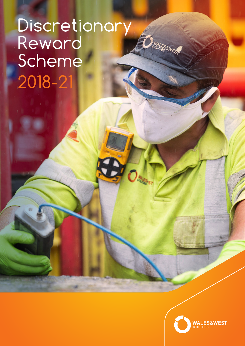# Discretionary Reward Scheme 2018-21

O MALES EVERE

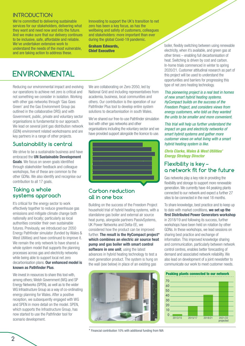# **INTRODUCTION**

We're committed to delivering sustainable services for our stakeholders, delivering what they want and need now and into the future. And we make sure that our delivery continues to be inclusive, safe, affordable and reliable. We've undertaken extensive work to understand the needs of the most vulnerable, and are taking action to address these.

Innovating to support the UK's transition to net zero has been a key focus, as has the wellbeing and safety of customers, colleagues and stakeholders: more important than ever during the global Covid-19 pandemic.

Graham Edwards, Chief Executive

# **ENVIRONMENTAL**

Reducing our environmental impact and evolving our operations to achieve net zero is critical and not something we consider in isolation. Working with other gas networks through 'Gas Goes Green' and the Gas Environment Group (as outlined in the collaborative DRS) and with Government, public, private and voluntary sector organisations is fundamental to our approach. We lead on several joint gas distribution network (GDN) environment related workstreams and are key partners in a range of other projects.

# **Sustainability is central**

We strive to be a sustainable business and have embraced the **UN Sustainable Development Goals**. We focus on seven goals identified through stakeholder feedback and colleague workshops, five of these are common to the other GDNs. We also identify and recognise our contribution to all 17 goals.

# **Taking a whole systems approach**

It's critical for the energy sector to work effectively together to reduce greenhouse gas emissions and mitigate climate change both nationally and locally; particularly as local authorities consider their own sustainable futures. Previously, we introduced our 2050 Energy Pathfinder simulator (funded by Wales & West Utilities) and have continued to improve it. We remain the only network to have shared a whole system model that supports the planning processes across gas and electricity networks while being able to support local net zero decarbonisation plans. **Our enhanced model is known as Pathfinder Plus**.

We invest in resources to share this tool with, among others; Welsh Government (WG) and SP Energy Networks (SPEN), as well as to the wider WG Infrastructure Group as a way of co-ordinating energy planning for Wales. After a positive reception, we subsequently engaged with WG and SPEN in more detail on the model. SPEN, which supports the Infrastructure Group, has now started to use the Pathfinder tool for scenario development.

We are collaborating on Zero 2050, led by National Grid and including representatives from academia, business, local communities and others. Our contribution is the operation of our Pathfinder Plus tool to develop entire system solutions to decarbonisation in south Wales.

We've shared our free-to-use Pathfinder simulation tool with other gas networks and other organisations including the voluntary sector and we have provided support alongside the licence to use.



# **Carbon reduction all in one box**

Building on the success of the Freedom Project household trial of hybrid heating systems, with a standalone gas boiler and external air source heat pump, alongside partners PassivSystems, UK Power Networks and Delta-EE, we considered how the product can be improved further. **The result is the HyCompact project\* which combines an electric air source heat pump and gas boiler with smart control software in one unit**, using the latest advances in hybrid heating technology to test a next generation product. The system is hung on the wall (see below) in place of an existing gas



\* Financial contribution 10% with additional funding from NIA

boiler, flexibly switching between using renewable electricity, when it's available, and green gas at other times – enabling full decarbonisation of heat. Switching is driven by cost and carbon. In-home trials commenced in winter to spring 2020/21. Customer attitudinal research as part of this project will be used to understand the opportunities and barriers for progressing this type of net zero heating technology.

#### *This pioneering project is a real test in homes of new smart hybrid heating systems. HyCompact builds on the success of the Freedom Project, and considers views from energy customers, who told us they wanted the units to be smaller and more convenient.*

*This trial will help us further understand the impact on gas and electricity networks of smart hybrid systems and gather more customer views on what living with a smart hybrid heating system is like.*

#### *Chris Clarke, Wales & West Utilities' Energy Strategy Director*

# **Flexibility is key – a network fit for the future**

Gas networks play a key role in providing the flexibility and storage to support more renewable generation. We currently have 44 peaking plants connected to our network and expect a further 27 sites to be connected in the next 18 months.

To share knowledge, best practice and to keep up to date with market conditions, **we set up the first Distributed Power Generators workshop** in 2018/19 and following its success, further workshops have been held on rotation by other GDNs. In these workshops, we lead sessions on sharing best practice and exchange of information. This improved knowledge sharing and communication, particularly between network control centres, enables better forecasting of demand and associated network reliability. We also lead on development of a joint newsletter to communicate our work to meet customer needs.

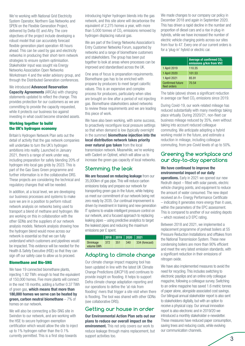We're working with National Grid Electricity System Operator, Northern Gas Networks and SPEN on the Flexible Generation Project, delivered by Delta-EE and Afry. The core objectives of the project include developing a robust model that can accurately forecast flexible generation plant operation 48 hours ahead. This can be used by gas and electricity networks in producing their short-term network strategies to ensure system optimisation. Stakeholder input was sought via Energy Networks Association Open Networks Workstream 4 and the wider advisory group, and through the Distributed Generation conferences.

#### We introduced **Advanced Reservation**

**Capacity Agreements** (ARCAs) with charging statements updated to reflect the change. This provides protection for our customers as we are committing to provide the capacity requested, while it protects our business too against investing in what could become stranded assets.

#### Working together to build the UK's hydrogen economy

Britain's Hydrogen Network Plan sets out the detail of activity that the gas network companies will undertake to turn the UK's hydrogen ambitions into reality. Launched in January 2021, there's a range of work under way, including preparation for safely blending 20% of hydrogen into local gas grids by 2023. This is part of the Gas Goes Green programme and further information is in the collaborative DRS. These projects are considering the technical and regulatory changes that will be needed.

In addition, at a local level, we are developing our business processes and systems to make sure we are in a position to perform robust network analysis on networks being used to transport a blend of methane and hydrogen. We are working on this in collaboration with the other GDNs and the suppliers of our network analysis models. Network analysis showing how the hydrogen blend would move across our network is essential so that we can fully understand which customers and pipelines would be impacted. This evidence will be needed for the Health & Safety Executive (HSE) so that they can sign off our safety case to allow us to proceed.

#### Biomethane and Bio-SNG

We have 19 connected biomethane plants, injecting 1.82 TWh: enough to heat the equivalent of 150,000 homes. Five more plants will connect in the next 18 months, adding a further 0.37 TWh of green gas, **which means that more than 180,000 homes we serve can be heated by green, carbon neutral biomethane** – 7% of homes on our network.

We will also be connecting a Bio-SNG site in Swindon to our network, and are working with the HSE to secure hydrogen exemption certification which would allow the site to inject up to 1% hydrogen rather than the 0.1% currently permitted. This is a first step towards

introducing higher hydrogen blends into the gas network, and this site alone will decarbonise the equivalent of 2,275 homes a year, with more than  $5,000$  tonnes of  $CO<sub>2</sub>$  emissions removed by hydrogen displacing natural gas.

We are part of the Energy Networks Association's Entry Customer Networks Forum, supported by networks and a range of biomethane customers and stakeholders. The group has been put together to look at areas where processes can be improved and standardised across the UK.

One area of focus is propanation requirements. Biomethane gas has to be enriched with propane by producers to meet target calorific values. This is an expensive and complex process for producers, particularly when sites are brought on-line after a period of not injecting gas. Biomethane stakeholders asked networks to review these requirements and we are leading this piece of work.

We have also been working, with some success, to proactively reconfigure local pressure settings so that when demand is low (typically overnight in the summer) **biomethane injection into the local distribution network takes priority over natural gas taken** from the local transmission network. Meanwhile, we're working with Cadent on Optinet, which will allow us to increase the green gas capacity of local networks.

# **Stemming the leak**

**We are focused on reducing leakage** from our 35,000km of gas pipe. This will reduce carbon emissions today and prepare our network for transporting green gas in the future, while helping us meet our commitment of our network being net zero ready by 2035. Our continual improvement is driven by investment in training and new generation IT systems to enable intelligent pressure control on our network, and a focused approach to replacing leaking pipes – using predictive analytics to target the leakiest pipes and reducing the maximum emissions per £ spent.

|                         |     |     | 2018   2019   2020   2021 |                |
|-------------------------|-----|-----|---------------------------|----------------|
| Shrinkage<br>volume GWh | 372 | 351 | 340                       | 334 (forecast) |

# **Adapting to climate change**

Our climate change impact mapping tool has been updated in line with the latest UK Climate Change Predictions (UKCP18) and continues to provide insight on flooding. It helps to support Defra climate change adaptation reporting and our operations to define the 'at risk from flooding' rivers that trigger a site visit when there is flooding. The tool was shared with other GDNs (see collaborative DRS).

### **Getting our house in order**

**Our Environmental Action Plan sets out our plans to reduce our overall impact on the environment.** This not only covers our work to reduce leakage through mains replacement, but support activities too.

We made changes to our company car policy in December 2018 and again in September 2020. This has driven a rapid decline in the number and proportion of diesel cars and a rise in plug-in hybrids, while we have increased the number of electric vehicle charging points across our sites from four to 47. Every one of our current orders is for a 'plug-in' hybrid or electric car.

|                                         | <b>Average of confirmed CO2</b><br>emissions g/km from V5C |  |  |  |
|-----------------------------------------|------------------------------------------------------------|--|--|--|
| 1 April 2019                            | 110.35                                                     |  |  |  |
| 1 April 2020                            | 101.53                                                     |  |  |  |
| 1 April 2021                            | 85.91                                                      |  |  |  |
| <b>Confirmed future</b><br>fleet orders | 70.54                                                      |  |  |  |

The table (above) shows a significant reduction in average car fleet  $CO<sub>2</sub>$  emissions since 2019.

During Covid-19, our work-related mileage has reduced substantially with many meetings taking place virtually. During 2020/21, non-fleet car business mileage reduced by 35%, even without taking into account reduced colleague commuting. We anticipate adopting a hybrid working model in the future, and estimate a reduction in mileage, including colleague commuting, from pre-Covid levels of up to 50%.

## **Greening the workplace and our day-to-day operations**

#### **We have continued to improve the environmental impact of our daily**

**operations.** Early in 2021 we opened our new Redruth depot – fitted with solar panels, electric vehicle charging points, and equipment to reduce the amount of water consumed. The new depot received an A+ Energy Performance Certificate – indicating it generates more energy than it uses, within the parameters of the EPC assessment. This is compared to another of our existing depots – which received a D EPC rating.

Between 2018 and 2021, we implemented a replacement programme of preheat boilers at 55 Pressure Reduction Installations and offtakes from the National Transmission System. These new condensing boilers are more than 90% efficient and meet the very latest emission standards, with a significant reduction in their emissions of nitrogen oxide.

We have also implemented measures to avoid the need for recycling. This includes switching to electronic payslips and an online only colleague magazine, following a colleague survey. Switching to an online magazine has saved 1.6 metric tonnes of paper alone, alongside associated cost savings. Our bilingual annual stakeholder report is also sent to stakeholders digitally, but with an option to receive a physical copy. Our annual innovation report is also electronic and in 2019/20 we introduced a monthly stakeholder e-newsletter. These measures have reduced paper consumption, saving trees and reducing costs, while evolving our communication channels.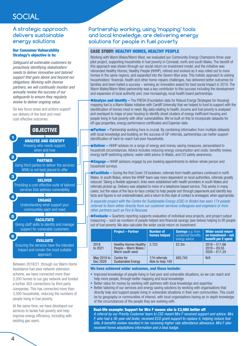# **SOCIAL**

# **A strategic approach delivers sustainable energy solutions**

#### Our Consumer Vulnerability Strategy's objective is to:

*Safeguard all vulnerable customers by proactively identifying stakeholders' needs to deliver innovative and tailored support that goes above and beyond our obligations. Working with diverse partners, we will continually monitor and annually review the success of our safeguards to ensure they regularly evolve to deliver ongoing value.*

Six key focus areas and actions support our delivery of the best and most cost-effective outcomes.

# **OBJECTIVE**

# ANALYSE AND IDENTIFY

Knowing who needs support, when and how Т

#### PARTNER

Using third parties to deliver the services WWU is not best placed to offer

#### DELIVER

Providing a cost-effective suite of tailored services that address vulnerability

#### T ENGAGE

Understanding what support your communities want and need

#### FACILITATE

Giving staff skills to identify and manage support for vulnerable customers

#### ņ EVALUATE

Ensuring the services have the intended impact and remain the most suitable approach

Between 2018/21, through our Warm Home Assistance fuel poor network extension scheme, we have connected more than 3,200 homes to our gas network and funded a further 303 connections by third party companies. This has connected more than 3,500 households, reducing the numbers of people living in fuel poverty.

At the same time, we have developed our services to tackle fuel poverty and help improve energy efficiency, including with existing gas users.

# **Partnership working, using 'mapping' tools and local knowledge, are delivering energy solutions for people in fuel poverty**

#### CASE STUDY: HEALTHY HOMES, HEALTHY PEOPLE

Working with Warm Wales/Warm West, we evaluated our Community Energy Champions three-year pilot project, supporting households in fuel poverty in Cornwall, north and south Wales. The benefit of this approach was shown through our social return on investment model, and the initiative was rebranded Healthy Homes, Healthy People (HHHP), refined and evolved as it was rolled out to more homes in the same regions, and expanded into the Severn Wye area. This holistic approach to solving householders' financial, health and other home-repairs challenges, has delivered better outcomes for families and been hailed a success – winning an innovation award for best social impact in 2019. The Warm Wales/Warm West partnership was a key contributor to this success including the development and expansion of local authority and, now increasingly, local health board partnerships.

**Analyse and identify –** The FRESH (Foundation data for Robust Energy Strategies for Housing) mapping tool is a Warm Wales initiative with Cardiff University that we helped to fund to support with the identification of homes most in need. Big data relating to health, income and fuel poverty is analysed and overlayed to maps of poor housing to identify street clusters of energy inefficient housing and people living in fuel poverty with other vulnerabilities. We've built on this to incorporate datasets for off-gas properties, energy performance certificates and Experian data.

**Partner** – Partnership working here is crucial. By combining information from multiple datasets with local knowledge and building on the success of GP referrals, partnerships can better support identification of hard-to-reach fuel poor households.

**Deliver –** HHHP advises on a range of energy and money-saving measures, personalised to household circumstances. Advice includes reducing energy consumption and costs; benefits review; energy tariff-switching options; water-debt advice in Wales, and CO safety awareness.

**Engage** – HHHP advisors engage by pre-booking appointments to deliver whole person and household surveys.

**• Facilitate** – During the first Covid-19 lockdown, referrals from health partners continued in north Wales. In south Wales, where the HHHP team was more dependent on local authorities, referrals greatly reduced. Taking a flexible approach, links were established with health providers in south Wales and referrals picked up. Delivery was adapted to more of a telephone-based service. This works in many cases, but the value of the face-to-face contact to help people sort through paperwork and identify key facts and figures is not underestimated, and a return to this style of contact is envisaged, when appropriate.

*A separate project with the Centre for Sustainable Energy (CSE) in Bristol has seen 174 people referred to them either directly from our customer services colleagues and engineers or from other partners such as Fire & Rescues.*

● **Evaluate** – Quarterly reporting supports evaluation of individual area projects, and project output measuring – such as numbers of people helped and financial savings (see below) helping to lift people out of fuel poverty. We also calculate the wider social return on investment.

|                         | <b>Project - Partner</b>                                                 | <b>Number of</b><br>homes helped  | <b>Savings e.g. from</b><br>unclaimed benefits<br>energy advice | Wider social return<br>on investment - net<br>benefit per £ spent |
|-------------------------|--------------------------------------------------------------------------|-----------------------------------|-----------------------------------------------------------------|-------------------------------------------------------------------|
| 2018<br>to 2021         | <b>Healthy Homes Healthy</b><br>People - Warm Wales /<br>Warm south west | 2.723                             | £2.3m                                                           | $2018 - £11.66$<br>$2019 - \text{\pounds}9.55$<br>$2020 - £11.25$ |
| May 2019 to<br>Dec 2020 | Centre for<br>Sustainable Energy                                         | 174 referrals<br>Able to help 109 | £65,743                                                         | N/A                                                               |

#### We have achieved wider outcomes, and these include:

- Improved knowledge of people living in fuel poor and vulnerable situations, so we can reach and help more people, through better mapping and local knowledge
- Better value for money by working with partners with local knowledge and expertise
- Better tailoring of our services and energy saving solutions by working with organisations that directly help and support people living in vulnerable situations in their own communities. This could be by geography or communities of interest, with local organisations having an in-depth knowledge of the circumstances of the people they are working with.

#### Real-life example: Support for Mrs F means she is £3,980 better off

*A referral by our Priority Customer team to CSE meant Mrs F received support and advice. Mrs F, who had a 36-year-old boiler, received ECO grant support to replace it, helping reduce fuel bills. A benefits review resulted in her receiving higher rate attendance allowance. Mrs F also received home adaptations information and a blue badge.*

**4**

6

5

4

3

2

1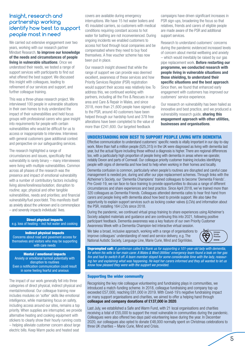# **Insight, research and partnership working identify how best to support people most in need**

We carried out extensive engagement over two years, working with our research partner Mindset Research, **to improve our knowledge of the needs and circumstances of people living in vulnerable situations**. Once we understood their needs, we tested a range of support services with participants to find out what offered the best support. We discussed this insight with colleagues, leading to refinement of our services and support, and further colleague training.

This was a three-phase research project. We interviewed 100 people in vulnerable situations in their own homes to truly understand the impact of their vulnerabilities and held focus groups with professional carers who gave insight into requirements for people with certain vulnerabilities who would be difficult for us to access or inappropriate to interview. Interviews with general customers gave additional context and perspective on our safeguarding services.

The research highlighted a range of circumstances and issues, specifically that vulnerability is rarely binary – many interviewees were living with multiple vulnerabilities. Common across all phases of the research was the presence and impact of emotional vulnerability with a number of contributory factors including: living alone/loneliness/isolation; disruption to routine; age; physical and other tangible vulnerabilities, needs and priorities; and financial vulnerability/fuel poor/debt. This manifests itself as anxiety about the unknown and is commonplace – and severely impacts individuals' lives.

#### Direct physical impacts e.g. loss of heating – incl hot water and cooking

#### Indirect physical impacts

Concerns about road and pavement access for themselves and visitors who may be supporting with care needs

#### Mental / emotional impacts

Anxiety or emotional turmoil potentially with disruption to routines Even a notification communication could result in some feeling fearful and anxious

The impact of our work generally fell into three categories of direct physical, indirect physical and mental/emotional. Our colleague training now includes modules on 'softer' skills like emotional intelligence, while maintaining focus on safety, including access around our sites, remains a top priority. When supplies are interrupted, we provide alternative heating and cooking equipment with stickers to clearly show their hourly running costs – helping alleviate customer concern about large electric bills. Keep Warm packs and heated seat

covers are available during emergency interruptions. We have 15 hot water boilers and 45 insulated carriers, so customers with medical conditions requiring constant access to hot water for bathing are not inconvenienced. During ongoing incidents we enabled customers to access hot food through local companies and be compensated where they need to buy food themselves. A free voucher scheme has now been put in place.

Our research insight showed that while the range of support we can provide was deemed excellent, awareness of these services and how Priority Services Register (PSR) registration would support their access was relatively low. To address this, we continued working with partners, including all the Fire & Rescues in our area and Care & Repair in Wales, and since 2018, more than 21,600 people have signed up to the PSR, around 40 customers have been helped through our hardship fund and 378 free alterations have been completed to the value of more than £241,600. Our targeted feedback

campaigns have driven significant increases in PSR sign-ups, broadening the focus so that relatives, friends and carers of eligible people are made aware of the PSR and additional support services.

Research to understand customers' concerns during the pandemic evidenced increased levels of concern about mental wellbeing and anxiety – which would inevitably be raised by our gas pipe replacement work. **Before restarting our programme, we conducted research with people living in vulnerable situations and those shielding, to understand their specific situations and the best approach**. Since then, we found that enhanced early engagement with customers has improved our customers' service experience.

Our research on vulnerability has been hailed as innovative and best practice, and we produced a vulnerability research guide, **sharing this engagement approach with other utilities, businesses and organisations**.

#### UNDERSTANDING HOW BEST TO SUPPORT PEOPLE LIVING WITH DEMENTIA

Effective communication to understand customers' specific needs is vitally important in our day-to-day work. More than half a million people (525,315) in the UK were diagnosed as living with dementia last year, but the actual figure including those without a diagnosis is higher. There are regional differences too, with a particularly high proportion of people living with dementia in areas where we operate; notably Devon and parts of Cornwall. Our colleague priority customer training includes identifying people with signs of dementia and how best to help when working in their homes and locality.

Dementia confusion is common, particularly when people's routines are disrupted and careful case management is needed pre, during and after our pipe replacement schemes. Through links with the Alzheimer's Society, our 'Dementia Champions' trained colleagues to become 'Dementia Friends'. Pre-Covid-19, we ran face-to-face training to provide opportunities to discuss a range of different circumstances and share experiences and best practice. Since April 2018, we've trained more than 320 colleagues as Dementia Friends. Colleagues attended dementia cafes to hear first-hand from carers and people living with dementia about how best to provide support. We also take the opportunity to explain support services such as locking cooker valves (LCVs) and information about the PSR, installing 164 LCVs since 2018.

During the pandemic, we continued virtual group training to share experiences using Alzheimer's Society adapted materials and guidance and are continuing this into 2021, following positive participant feedback. Dementia awareness was a key feature of our own Priority Customer Awareness Week with a Dementia Champion-led interactive virtual session.

We take a broad, inclusive approach, working with a range of organisations to improve colleagues' understanding of need and service delivery, e.g. The National Autistic Society, Language Line, Marie Curie, Mind and SignVideo.



Unprompted call: *A gentleman called to thank us for supporting a 101-year-old lady with dementia, for whom his wife is her main carer. A Wales & West Utilities' emergency team found a leak on her gas fire and had to switch it off. A team member stayed for some considerable time with the lady, reassuring her and explaining what was happening. He kept her carers informed and they all wanted to let us know how pleased they were with the support we provided.* 

#### Supporting the wider community

Recognising the key role colleague volunteering and fundraising plays in communities, we introduced a match-funding scheme. In 2018, colleague fundraising and company top-up exceeded £57,000, reaching £81,000 in 2019. With Covid-19's negative fundraising impact on many support organisations and charities, we aimed to offer a helping hand through **colleague and company donations of £137,000 in 2020**.

Last July, we established a Safe and Warm Fund, with 21 local organisations and charities receiving a total of £55,000 to support the most vulnerable in communities during the pandemic. Colleagues were also offered two days paid volunteering leave during the year. In December 2020, our colleagues also opted to donate £48,000 normally spent on Christmas celebrations to three UK charities – Marie Curie, Mind and Crisis.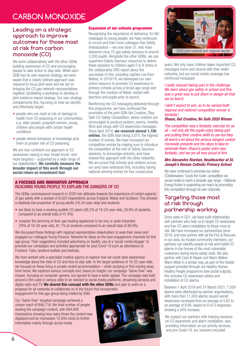# **CARBON MONOXIDE**

# **Leading on a strategic approach to improve outcomes for those most at risk from carbon monoxide (CO)**

We work collaboratively with the other GDNs building awareness of CO and encouraging people to take action to stay safe. While each GDN has its own regional strategy, we were aware that a clearly defined approach was required to focus joint work and we led on bringing the CO gas network representatives together, facilitating a workshop to develop a joint evidence-based strategy. Our own strategy complements this, focusing on how we identify and effectively target:

- people who are most at risk of damage to health from CO poisoning in our communities, e.g. older people, pregnant women, young children and people with certain health conditions
- people whose behaviour or knowledge puts them at greater risk of CO poisoning.

We are now confident our approach to CO awareness-raising is less 'broad-brush' and more targeted – supported by a wide range of our stakeholders. **We carefully measure the broader impact of this work through our social return on investment tool**.

#### Expansion of our schools programme

Recognising the importance of delivering 'for life' messages to young people, we have continued to recruit and train more colleague Gas Safety Ambassadors – we now have 37, who have delivered circa 75 gas safety sessions to around 3,200 pupils. Alongside the other GDNs, we use superhero Safety Seymour resources to deliver these sessions to children aged 5 to 8 (more in the collaborative DRS report about the successes of this, including JayDee Lee from Wales). In 2018/19, we developed our own online resource to promote CO awareness to primary schools across a broad age range and through the medium of Welsh, tested with teachers and pupils prior to launch.

Reinforcing the CO messaging delivered through this programme, we have continued the promotion of the joint GDN Get Creative, Stay Safe CO Safety Competition, where children are encouraged to produce posters, poems, models, films and songs with CO awareness messages. Since April 2018, **we received almost 1,100 entries**, the GDN total being 2,070, the highest number of entries. We have increased our competition entries by making sure to introduce the competition at the end of Safety Seymour sessions, to encourage entrants, and have shared this approach with the other networks. We are proud that schools and children across our area have embraced this, including having national winning entries for four consecutive

#### A FOCUSED AND INNOVATIVE APPROACH REACHING YOUNG PEOPLE TO EXPLAIN THE DANGERS OF CO

The GDNs commissioned research in 2020 into attitudes towards the importance of certain aspects of gas safety with a sample of 8,023 respondents across England, Wales and Scotland. This showed a relatively low proportion of young adults (16-24-year-olds) and students:

- are likely to have a working audible CO alarm (26.2% of 16-24-year-olds, 28.6% of students compared to an overall total of 41.6%)
- consider the servicing of their gas heating appliances to be very or quite important (78% of 16-24-year-olds, 81.1% of students compared to an overall total of 88.6%)

We discussed these findings with regional representative stakeholders to seek their views and engaged our colleague Young Persons' Network for ideas on the best engagement channels for this age group. Their suggestions included advertising on Spotify, use of a 'social media blogger' to promote our campaigns and activities appropriate for post Covid-19 such as attendance at Freshers' Fairs, landlord leaflets and festivals.

We then worked with a specialist creative agency to explore how we could raise awareness/ knowledge about the risks of CO and how to stay safe. In the target audience of 16-25-year-olds, we focused on those living in private rented accommodation – while studying or first moving away from home. We explored various concepts and, based on insight, our campaign 'Game Over' was chosen, focusing on computer gamers, but agreed to have a wider appeal. The campaign was built around a film used in various edits to be relevant to social media platforms, streaming services and digital radio and TV. **We shared this concept with the other GDNs** and plan to work on a proposal for all networks to collaborate on in the future that incorporates

engagement for this age group being trialled by SGN.

Our 'Game Over' targeted campaign achieved a unique reach of 646,716: the total number of people viewing the campaign content, with 894,849 impressions showing how many times the content was displayed and an impressive 12,934 clicks to further information mainly through social media.





years. Not only have children taken important CO messages home and shared with their wider networks, but our social media coverage has reinforced messages.

*I really enjoyed taking part in the challenge. We learn about gas safety in school and this was a great way to put down in design all that we've learnt.*

*I didn't expect to win, so to be named both regional and national competition winner is fantastic!*

*Shaun, Get Creative, Be Safe 2020 Winner* 

*The competition was a fantastic exercise for us all – not only did the pupils enjoy taking part and putting their creative skills to use but they all learnt a lot about the serious dangers carbon monoxide presents and the steps to take to eliminate them. Shaun's poster entry was fantastic, and we are all very proud of him.*

#### *Mrs Alexandra Riordan, Headteacher at St. Joseph's Roman Catholic Primary School*

We have continued to promote our online COdebreakers 'Crack the Code' competition via social media to reach a broader age range – National Energy Action is supporting our reach by promoting this competition through its own channels.

# **Targeting those most at risk through partnership working**

Since early in GD1, we have built relationships with partners who help us to target CO awareness and free CO alarm installation to those most at risk. We have increased our partnerships since 2018, and now partner with all the Fire & Rescues in our area. As trusted community members, our partners can identify people at risk and install CO alarms in the homes of the most vulnerable customers during home safety visits. We also partner with Care & Repair and Warm Wales/ Warm West in a similar way, as part of the holistic support provided through our Healthy Homes Healthy People programme (see social outputs), this includes CO awareness advice and installation of CO alarms.

Between 1 April 2018 and 31 March 2021, 7,559 alarms were distributed by partner organisations, with more than 11,500 alarms issued overall. Awareness increased from an average of 5.62 to an average of 8.66, based on 6,473 responses showing a 54% increase.

We support our partners with training sessions on CO awareness and alarm installation, also providing information on our priority services, and pre-Covid-19, our sessions included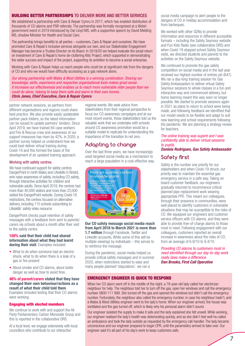#### BUILDING BETTER PARTNERSHIPS TO DELIVER MORE AND BETTER SERVICES

We established a partnership with Care & Repair Cymru in 2017, which has enabled distribution of thousands of CO alarms and PSR referrals. The partnership was formally recognised at a Welsh government event in 2019 introduced by Dai Lloyd MS, with a supportive speech by David Melding MS, shadow Minister for Health and Social Care.

The partnership brings benefits to all parties – customers, Care & Repair and ourselves. We have promoted Care & Repair's inclusive services alongside our own, and our Stakeholder Engagement Manager has become a Trustee Director on its Board. In 2019/20 we helped evaluate the social return on investment of Care & Repair's home de-cluttering Attic Project, which supported in demonstrating the wider success and impact of the project, supporting its ambition to become a social enterprise.

Working with Care & Repair helps us reach people who could be at significant risk from the dangers of CO and who we would have difficulty accessing as a gas network alone.

*Our strong partnership with Wales & West Utilities is a winning combination. Sharing our knowledge, skills, experience and respective organisational tools makes great sense. It increases our effectiveness and enables us to reach more vulnerable older people than we could do alone, helping to keep them safe and warm in their own homes. Chris Jones, Chief Executive, Care & Repair Cymru*

partner network sessions, so partners from different organisations and regions could share best practice. We also provide easily updateable partner pack folders, so the latest information can be issued to update partners' binders. Since April 2019, we have trained 84 case workers and Fire & Rescue crew and awareness of our support measures has risen by 42%. In 2020, a partner survey helped us understand how we could best deliver virtual training during Covid-19 and this formed the basis of the development of an updated training approach.

#### Working with safety centres

We have continued support for safety centres DangerPoint in north Wales and Lifeskills in Bristol, who raise awareness of safety, including CO safety, through interactive activities for children and vulnerable adults. Since April 2018, the centres had more than 40,000 visitors and more than 23,000 visited the DangerPoint website. During Covid-19 restrictions, the centres focused on alternative delivery, including 115 schools subscribing to Lifeskills' safety video resource.

DangerPoint checks pupil retention of safety messages with a feedback form sent to parents/ carers via schools about a month after their visit to the safety centre.

#### **100% said that their child had shared information about what they had learnt during their visit**. Examples included:

- What to do when someone had an electric shock, what to do when there is a leak of a gas or fire present
- About smoke and CO alarms, about boiler danger as well as how to avoid fires.

#### **48% of parent/carers stated that they have changed their own behaviour/actions as a result of what their child told them**.

Examples included testing that their CO alarms were working.

#### Engaging with elected members

We continue to work with and support the All Party Parliamentary Carbon Monoxide Group and this is reported in the collaborative DRS.

At a local level, we engage extensively with local councillors who contribute to our interactive

regional events. We seek advice from stakeholders from their regional perspective to focus our CO awareness campaigns and at our most recent events, these stakeholders told us the valuable work that we undertake with schools around CO awareness promotion would be a suitable model to replicate for understanding the importance of the transition to net zero.

## **Adapting to change**

Over the last three years, we have increasingly used targeted social media as a mechanism to reach a large population in a cost-effective way.



**Our CO safety message social media reach from April 2018 to March 2021 is more than 1.7 million** through Facebook. Twitter and LinkedIn accounts. While some of this will be multiple viewings by individuals – this serves to to reinforce the message.

During the pandemic, social media helped us provide critical safety messages and in summer 2020, when restrictions started to ease and many people planned 'staycations', we ran a

social media campaign to alert people to the dangers of CO in holiday accommodation and from barbeques.

We worked with other GDNs to provide information and resources in different accessible formats – including the Safety Seymour website and Fun Kids Radio (see collaborative DRS) and when Covid-19 stopped school Safety Seymour visits, we directed students and parents to the activities on the Safety Seymour website.

We continued to promote the gas safety competition on social media and in the last year received our highest number of entries yet (647). We ran a day-long training session for Gas Safety Ambassadors to deliver virtual Safety Seymour sessions to whole classes in a fun and interactive way and commenced delivery, but home learning meant this was soon no longer possible. We started to promote sessions again in 2021 as plans to return to school were being made, and following feedback we identified that our model needs to be flexible and adapt to suit new learning and school requirements following the pandemic. We are planning a strategy review for teachers.

#### *The online training was superb and I was confidently able to deliver virtual sessions to pupils.*

*Daniela Rodrigues, Gas Safety Ambassador*

# **Safety first**

Safety is the number one priority for our stakeholders and when Covid-19 struck, our priority was to maintain the essential gas emergency service in a safe way. Taking on board customer feedback, our engineers gradually returned to recommence critical planned pipe replacement work wearing appropriate PPE. This meant our colleagues, through their presence in communities, were well placed to identify customers in vulnerable situations that may be susceptible to the risks of CO. We equipped our engineers and customer service officers with CO alarms, and they were able to provide free-of-charge alarms to those most in need. Following engagement with our colleagues, customers reported an overall increase in awareness about the risks of CO, from an average of 6.9/10 to 9.4/10.

*Providing CO alarms to customers most in need identified through our day-to-day work really does make a difference. Dan Brooks, First Call Operative*

#### EMERGENCY ENGINEER IS QUICK TO RESPOND

When her CO alarm went off in the middle of the night, a 78-year-old lady called her electrician neighbour for help. The neighbour told her to turn off the gas, open her windows and call the emergency number 0800 111 999. She turned off the gas and opened the windows but didn't call the emergency number. Fortunately, the neighbour also called the emergency number, in case his neighbour hadn't, and a Wales & West Utilities engineer went to the lady's home. When our engineer arrived, the house was ventilated and the gas turned off, which is likely why his personal alarm didn't sound.

Our engineer isolated the supply to make it safe and the lady explained she felt unwell. While working, our engineer realised the lady's health was deteriorating quickly, and as she didn't feel well he called an ambulance and took the lady outside as requested by the emergency call-handler. The lady became unconscious and our engineer prepared to begin CPR, until the paramedics arrived to take over. Our engineer said it's all part of his day's work to keep customers safe.